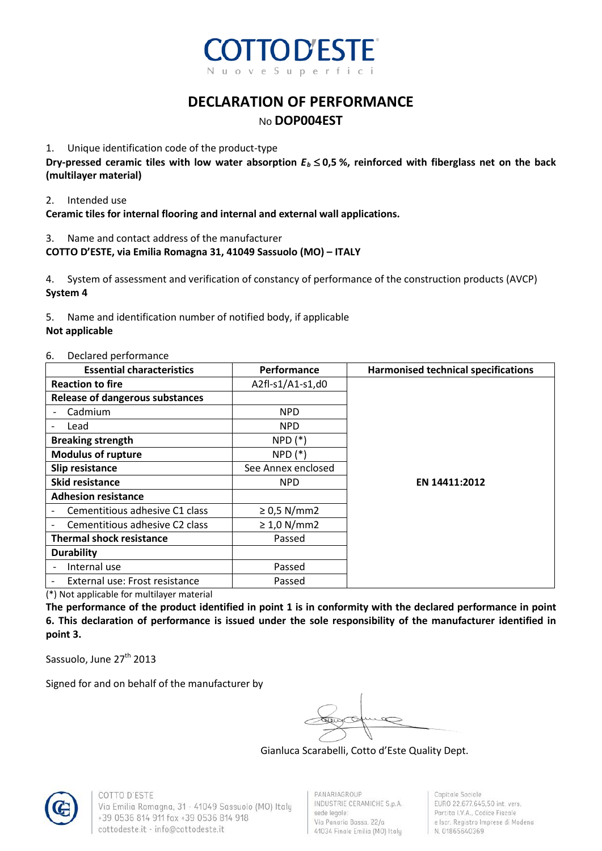

## **DECLARATION OF PERFORMANCE** No **DOP004EST**

#### 1. Unique identification code of the product-type

**Dry-pressed ceramic tiles with low water absorption**  $E_b \le 0.5$  **%, reinforced with fiberglass net on the back (multilayer material)**

#### 2. Intended use

**Ceramic tiles for internal flooring and internal and external wall applications.**

#### 3. Name and contact address of the manufacturer

#### **COTTO D'ESTE, via Emilia Romagna 31, 41049 Sassuolo (MO) – ITALY**

4. System of assessment and verification of constancy of performance of the construction products (AVCP) **System 4**

5. Name and identification number of notified body, if applicable **Not applicable**

#### 6. Declared performance

| <b>Essential characteristics</b>       | <b>Performance</b> | <b>Harmonised technical specifications</b> |
|----------------------------------------|--------------------|--------------------------------------------|
| <b>Reaction to fire</b>                | A2fl-s1/A1-s1,d0   |                                            |
| <b>Release of dangerous substances</b> |                    |                                            |
| Cadmium                                | <b>NPD</b>         |                                            |
| Lead                                   | <b>NPD</b>         |                                            |
| <b>Breaking strength</b>               | $NPD (*)$          |                                            |
| <b>Modulus of rupture</b>              | $NPD(*)$           |                                            |
| Slip resistance                        | See Annex enclosed |                                            |
| <b>Skid resistance</b>                 | <b>NPD</b>         | EN 14411:2012                              |
| <b>Adhesion resistance</b>             |                    |                                            |
| Cementitious adhesive C1 class         | $\geq$ 0,5 N/mm2   |                                            |
| Cementitious adhesive C2 class         | $\geq 1.0$ N/mm2   |                                            |
| <b>Thermal shock resistance</b>        | Passed             |                                            |
| <b>Durability</b>                      |                    |                                            |
| Internal use                           | Passed             |                                            |
| External use: Frost resistance         | Passed             |                                            |

(\*) Not applicable for multilayer material

**The performance of the product identified in point 1 is in conformity with the declared performance in point 6. This declaration of performance is issued under the sole responsibility of the manufacturer identified in point 3.** 

Sassuolo, June 27<sup>th</sup> 2013

Signed for and on behalf of the manufacturer by

Gianluca Scarabelli, Cotto d'Este Quality Dept.



COTTO D'ESTE Via Emilia Romagna, 31 - 41049 Sassuolo (MO) Italy +39 0536 814 911 fax +39 0536 814 918 cottodeste.it - info@cottodeste.it

PANARIAGROUP INDUSTRIE CERAMICHE S.p.A. sede legale: Via Panaria Bassa, 22/a 41034 Finale Emilia (MO) Italy

Capitale Sociale EURO 22.677.645,50 int. vers. Partita I.V.A., Codice Fiscale e Iscr. Registro Imprese di Modena N. 01865640369